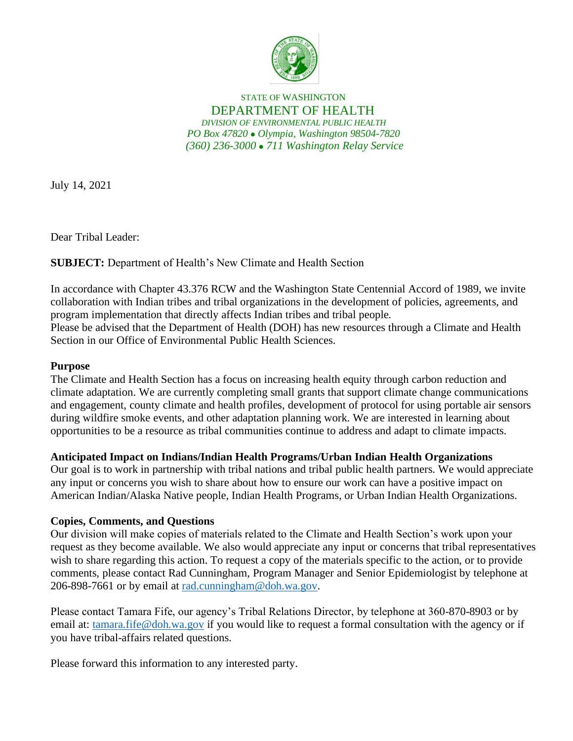

## STATE OF WASHINGTON DEPARTMENT OF HEALTH *DIVISION OF ENVIRONMENTAL PUBLIC HEALTH PO Box 47820* ⚫ *Olympia, Washington 98504-7820 (360) 236-3000* ⚫ *711 Washington Relay Service*

July 14, 2021

Dear Tribal Leader:

**SUBJECT:** Department of Health's New Climate and Health Section

In accordance with Chapter 43.376 RCW and the Washington State Centennial Accord of 1989, we invite collaboration with Indian tribes and tribal organizations in the development of policies, agreements, and program implementation that directly affects Indian tribes and tribal people. Please be advised that the Department of Health (DOH) has new resources through a Climate and Health Section in our Office of Environmental Public Health Sciences.

## **Purpose**

The Climate and Health Section has a focus on increasing health equity through carbon reduction and climate adaptation. We are currently completing small grants that support climate change communications and engagement, county climate and health profiles, development of protocol for using portable air sensors during wildfire smoke events, and other adaptation planning work. We are interested in learning about opportunities to be a resource as tribal communities continue to address and adapt to climate impacts.

## **Anticipated Impact on Indians/Indian Health Programs/Urban Indian Health Organizations**

Our goal is to work in partnership with tribal nations and tribal public health partners. We would appreciate any input or concerns you wish to share about how to ensure our work can have a positive impact on American Indian/Alaska Native people, Indian Health Programs, or Urban Indian Health Organizations.

## **Copies, Comments, and Questions**

Our division will make copies of materials related to the Climate and Health Section's work upon your request as they become available. We also would appreciate any input or concerns that tribal representatives wish to share regarding this action. To request a copy of the materials specific to the action, or to provide comments, please contact Rad Cunningham, Program Manager and Senior Epidemiologist by telephone at 206-898-7661 or by email at [rad.cunningham@doh.wa.gov.](mailto:rad.cunningham@doh.wa.gov)

Please contact Tamara Fife, our agency's Tribal Relations Director, by telephone at 360-870-8903 or by email at: [tamara.fife@doh.wa.gov](mailto:tamara.fife@doh.wa.gov) if you would like to request a formal consultation with the agency or if you have tribal-affairs related questions.

Please forward this information to any interested party.